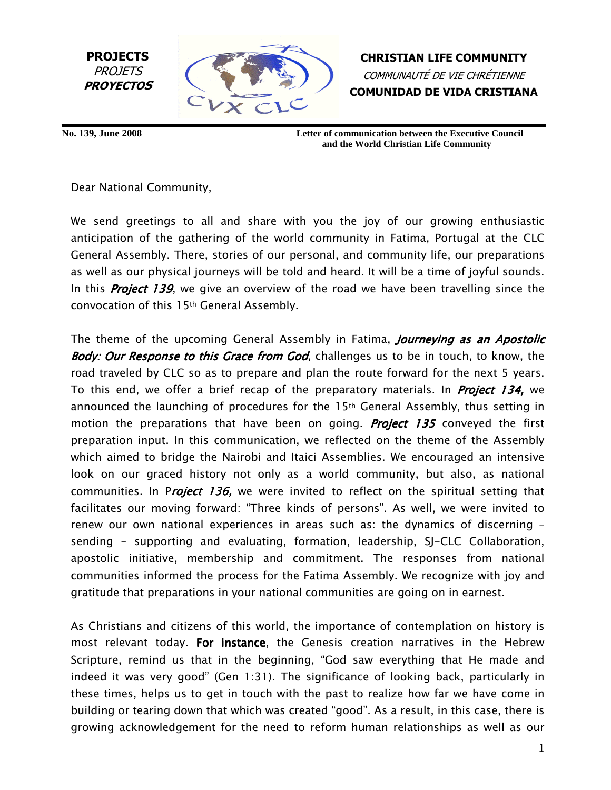

CHRISTIAN LIFE COMMUNITY COMMUNAUTÉ DE VIE CHRÉTIENNE COMUNIDAD DE VIDA CRISTIANA

**No. 139, June 2008 Letter of communication between the Executive Council and the World Christian Life Community**

Dear National Community,

We send greetings to all and share with you the joy of our growing enthusiastic anticipation of the gathering of the world community in Fatima, Portugal at the CLC General Assembly. There, stories of our personal, and community life, our preparations as well as our physical journeys will be told and heard. It will be a time of joyful sounds. In this **Project 139**, we give an overview of the road we have been travelling since the convocation of this 15th General Assembly.

The theme of the upcoming General Assembly in Fatima, *Journeying as an Apostolic* Body: Our Response to this Grace from God, challenges us to be in touch, to know, the road traveled by CLC so as to prepare and plan the route forward for the next 5 years. To this end, we offer a brief recap of the preparatory materials. In **Project 134,** we announced the launching of procedures for the  $15<sup>th</sup>$  General Assembly, thus setting in motion the preparations that have been on going. **Project 135** conveyed the first preparation input. In this communication, we reflected on the theme of the Assembly which aimed to bridge the Nairobi and Itaici Assemblies. We encouraged an intensive look on our graced history not only as a world community, but also, as national communities. In Project 136, we were invited to reflect on the spiritual setting that facilitates our moving forward: "Three kinds of persons". As well, we were invited to renew our own national experiences in areas such as: the dynamics of discerning – sending – supporting and evaluating, formation, leadership, SJ-CLC Collaboration, apostolic initiative, membership and commitment. The responses from national communities informed the process for the Fatima Assembly. We recognize with joy and gratitude that preparations in your national communities are going on in earnest.

As Christians and citizens of this world, the importance of contemplation on history is most relevant today. For instance, the Genesis creation narratives in the Hebrew Scripture, remind us that in the beginning, "God saw everything that He made and indeed it was very good" (Gen 1:31). The significance of looking back, particularly in these times, helps us to get in touch with the past to realize how far we have come in building or tearing down that which was created "good". As a result, in this case, there is growing acknowledgement for the need to reform human relationships as well as our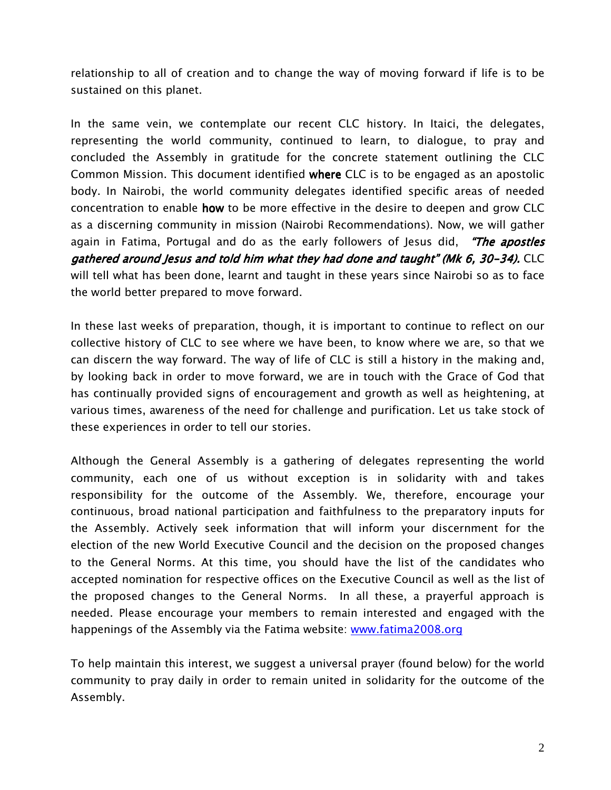relationship to all of creation and to change the way of moving forward if life is to be sustained on this planet.

In the same vein, we contemplate our recent CLC history. In Itaici, the delegates, representing the world community, continued to learn, to dialogue, to pray and concluded the Assembly in gratitude for the concrete statement outlining the CLC Common Mission. This document identified where CLC is to be engaged as an apostolic body. In Nairobi, the world community delegates identified specific areas of needed concentration to enable how to be more effective in the desire to deepen and grow CLC as a discerning community in mission (Nairobi Recommendations). Now, we will gather again in Fatima, Portugal and do as the early followers of Jesus did, "The apostles gathered around Jesus and told him what they had done and taught" (Mk 6, 30-34). CLC will tell what has been done, learnt and taught in these years since Nairobi so as to face the world better prepared to move forward.

In these last weeks of preparation, though, it is important to continue to reflect on our collective history of CLC to see where we have been, to know where we are, so that we can discern the way forward. The way of life of CLC is still a history in the making and, by looking back in order to move forward, we are in touch with the Grace of God that has continually provided signs of encouragement and growth as well as heightening, at various times, awareness of the need for challenge and purification. Let us take stock of these experiences in order to tell our stories.

Although the General Assembly is a gathering of delegates representing the world community, each one of us without exception is in solidarity with and takes responsibility for the outcome of the Assembly. We, therefore, encourage your continuous, broad national participation and faithfulness to the preparatory inputs for the Assembly. Actively seek information that will inform your discernment for the election of the new World Executive Council and the decision on the proposed changes to the General Norms. At this time, you should have the list of the candidates who accepted nomination for respective offices on the Executive Council as well as the list of the proposed changes to the General Norms. In all these, a prayerful approach is needed. Please encourage your members to remain interested and engaged with the happenings of the Assembly via the Fatima website: www.fatima2008.org

To help maintain this interest, we suggest a universal prayer (found below) for the world community to pray daily in order to remain united in solidarity for the outcome of the Assembly.